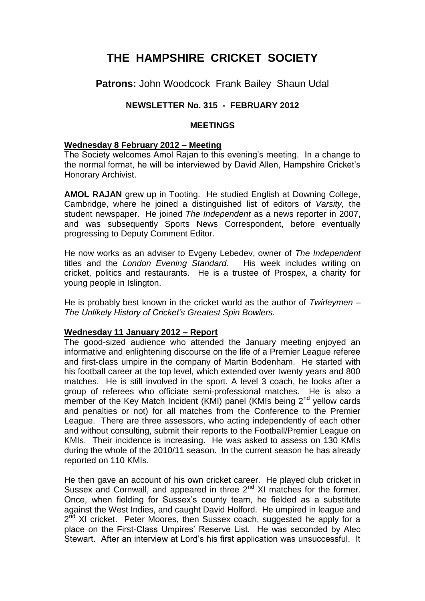# **THE HAMPSHIRE CRICKET SOCIETY**

**Patrons:** John Woodcock Frank Bailey Shaun Udal

# **NEWSLETTER No. 315 - FEBRUARY 2012**

# **MEETINGS**

# **Wednesday 8 February 2012 – Meeting**

The Society welcomes Amol Rajan to this evening's meeting. In a change to the normal format, he will be interviewed by David Allen, Hampshire Cricket's Honorary Archivist.

**AMOL RAJAN** grew up in Tooting. He studied English at Downing College, Cambridge, where he joined a distinguished list of editors of *Varsity,* the student newspaper. He joined *The Independent* as a news reporter in 2007, and was subsequently Sports News Correspondent, before eventually progressing to Deputy Comment Editor.

He now works as an adviser to Evgeny Lebedev, owner of *The Independent* titles and the *London Evening Standard.* His week includes writing on cricket, politics and restaurants. He is a trustee of Prospex, a charity for young people in Islington.

He is probably best known in the cricket world as the author of *Twirleymen – The Unlikely History of Cricket's Greatest Spin Bowlers.*

# **Wednesday 11 January 2012 – Report**

The good-sized audience who attended the January meeting enjoyed an informative and enlightening discourse on the life of a Premier League referee and first-class umpire in the company of Martin Bodenham. He started with his football career at the top level, which extended over twenty years and 800 matches. He is still involved in the sport. A level 3 coach, he looks after a group of referees who officiate semi-professional matches. He is also a member of the Key Match Incident (KMI) panel (KMIs being  $2<sup>nd</sup>$  yellow cards and penalties or not) for all matches from the Conference to the Premier League. There are three assessors, who acting independently of each other and without consulting, submit their reports to the Football/Premier League on KMIs. Their incidence is increasing. He was asked to assess on 130 KMIs during the whole of the 2010/11 season. In the current season he has already reported on 110 KMIs.

He then gave an account of his own cricket career. He played club cricket in Sussex and Cornwall, and appeared in three 2<sup>nd</sup> XI matches for the former. Once, when fielding for Sussex's county team, he fielded as a substitute against the West Indies, and caught David Holford. He umpired in league and 2<sup>nd</sup> XI cricket. Peter Moores, then Sussex coach, suggested he apply for a place on the First-Class Umpires' Reserve List. He was seconded by Alec Stewart. After an interview at Lord's his first application was unsuccessful. It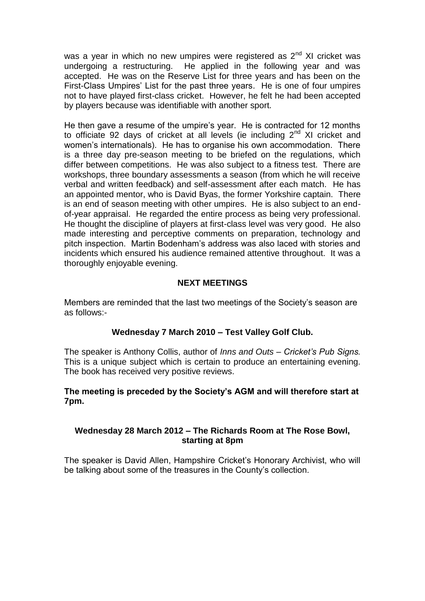was a year in which no new umpires were registered as  $2<sup>nd</sup>$  XI cricket was undergoing a restructuring. He applied in the following year and was accepted. He was on the Reserve List for three years and has been on the First-Class Umpires' List for the past three years. He is one of four umpires not to have played first-class cricket. However, he felt he had been accepted by players because was identifiable with another sport.

He then gave a resume of the umpire's year. He is contracted for 12 months to officiate 92 days of cricket at all levels (ie including  $2<sup>nd</sup>$  XI cricket and women's internationals). He has to organise his own accommodation. There is a three day pre-season meeting to be briefed on the regulations, which differ between competitions. He was also subject to a fitness test. There are workshops, three boundary assessments a season (from which he will receive verbal and written feedback) and self-assessment after each match. He has an appointed mentor, who is David Byas, the former Yorkshire captain. There is an end of season meeting with other umpires. He is also subject to an endof-year appraisal. He regarded the entire process as being very professional. He thought the discipline of players at first-class level was very good. He also made interesting and perceptive comments on preparation, technology and pitch inspection. Martin Bodenham's address was also laced with stories and incidents which ensured his audience remained attentive throughout. It was a thoroughly enjoyable evening.

# **NEXT MEETINGS**

Members are reminded that the last two meetings of the Society's season are as follows:-

# **Wednesday 7 March 2010 – Test Valley Golf Club.**

The speaker is Anthony Collis, author of *Inns and Outs – Cricket's Pub Signs.*  This is a unique subject which is certain to produce an entertaining evening. The book has received very positive reviews.

# **The meeting is preceded by the Society's AGM and will therefore start at 7pm.**

# **Wednesday 28 March 2012 – The Richards Room at The Rose Bowl, starting at 8pm**

The speaker is David Allen, Hampshire Cricket's Honorary Archivist, who will be talking about some of the treasures in the County's collection.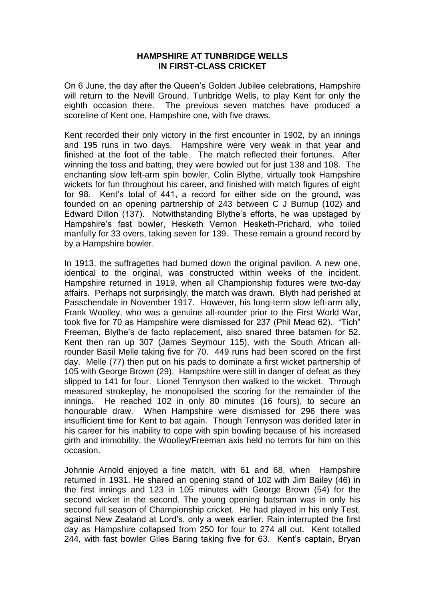#### **HAMPSHIRE AT TUNBRIDGE WELLS IN FIRST-CLASS CRICKET**

On 6 June, the day after the Queen's Golden Jubilee celebrations, Hampshire will return to the Nevill Ground, Tunbridge Wells, to play Kent for only the eighth occasion there. The previous seven matches have produced a scoreline of Kent one, Hampshire one, with five draws.

Kent recorded their only victory in the first encounter in 1902, by an innings and 195 runs in two days. Hampshire were very weak in that year and finished at the foot of the table. The match reflected their fortunes. After winning the toss and batting, they were bowled out for just 138 and 108. The enchanting slow left-arm spin bowler, Colin Blythe, virtually took Hampshire wickets for fun throughout his career, and finished with match figures of eight for 98. Kent's total of 441, a record for either side on the ground, was founded on an opening partnership of 243 between C J Burnup (102) and Edward Dillon (137). Notwithstanding Blythe's efforts, he was upstaged by Hampshire's fast bowler, Hesketh Vernon Hesketh-Prichard, who toiled manfully for 33 overs, taking seven for 139. These remain a ground record by by a Hampshire bowler.

In 1913, the suffragettes had burned down the original pavilion. A new one, identical to the original, was constructed within weeks of the incident. Hampshire returned in 1919, when all Championship fixtures were two-day affairs. Perhaps not surprisingly, the match was drawn. Blyth had perished at Passchendale in November 1917. However, his long-term slow left-arm ally, Frank Woolley, who was a genuine all-rounder prior to the First World War, took five for 70 as Hampshire were dismissed for 237 (Phil Mead 62). "Tich" Freeman, Blythe's de facto replacement, also snared three batsmen for 52. Kent then ran up 307 (James Seymour 115), with the South African allrounder Basil Melle taking five for 70. 449 runs had been scored on the first day. Melle (77) then put on his pads to dominate a first wicket partnership of 105 with George Brown (29). Hampshire were still in danger of defeat as they slipped to 141 for four. Lionel Tennyson then walked to the wicket. Through measured strokeplay, he monopolised the scoring for the remainder of the innings. He reached 102 in only 80 minutes (16 fours), to secure an honourable draw. When Hampshire were dismissed for 296 there was insufficient time for Kent to bat again. Though Tennyson was derided later in his career for his inability to cope with spin bowling because of his increased girth and immobility, the Woolley/Freeman axis held no terrors for him on this occasion.

Johnnie Arnold enjoyed a fine match, with 61 and 68, when Hampshire returned in 1931. He shared an opening stand of 102 with Jim Bailey (46) in the first innings and 123 in 105 minutes with George Brown (54) for the second wicket in the second. The young opening batsman was in only his second full season of Championship cricket. He had played in his only Test, against New Zealand at Lord's, only a week earlier. Rain interrupted the first day as Hampshire collapsed from 250 for four to 274 all out. Kent totalled 244, with fast bowler Giles Baring taking five for 63. Kent's captain, Bryan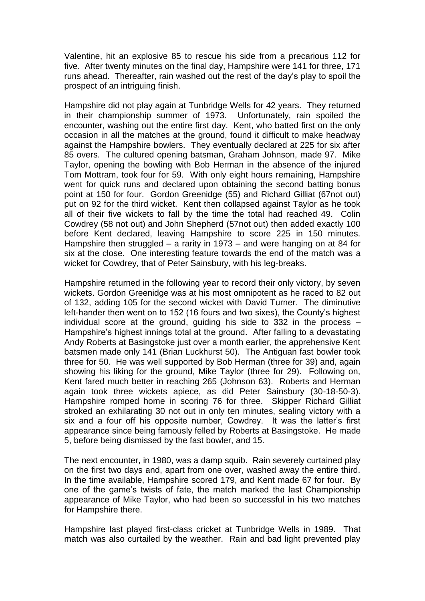Valentine, hit an explosive 85 to rescue his side from a precarious 112 for five. After twenty minutes on the final day, Hampshire were 141 for three, 171 runs ahead. Thereafter, rain washed out the rest of the day's play to spoil the prospect of an intriguing finish.

Hampshire did not play again at Tunbridge Wells for 42 years. They returned in their championship summer of 1973. Unfortunately, rain spoiled the encounter, washing out the entire first day. Kent, who batted first on the only occasion in all the matches at the ground, found it difficult to make headway against the Hampshire bowlers. They eventually declared at 225 for six after 85 overs. The cultured opening batsman, Graham Johnson, made 97. Mike Taylor, opening the bowling with Bob Herman in the absence of the injured Tom Mottram, took four for 59. With only eight hours remaining, Hampshire went for quick runs and declared upon obtaining the second batting bonus point at 150 for four. Gordon Greenidge (55) and Richard Gilliat (67not out) put on 92 for the third wicket. Kent then collapsed against Taylor as he took all of their five wickets to fall by the time the total had reached 49. Colin Cowdrey (58 not out) and John Shepherd (57not out) then added exactly 100 before Kent declared, leaving Hampshire to score 225 in 150 minutes. Hampshire then struggled – a rarity in 1973 – and were hanging on at 84 for six at the close. One interesting feature towards the end of the match was a wicket for Cowdrey, that of Peter Sainsbury, with his leg-breaks.

Hampshire returned in the following year to record their only victory, by seven wickets. Gordon Greenidge was at his most omnipotent as he raced to 82 out of 132, adding 105 for the second wicket with David Turner. The diminutive left-hander then went on to 152 (16 fours and two sixes), the County's highest individual score at the ground, guiding his side to 332 in the process – Hampshire's highest innings total at the ground. After falling to a devastating Andy Roberts at Basingstoke just over a month earlier, the apprehensive Kent batsmen made only 141 (Brian Luckhurst 50). The Antiguan fast bowler took three for 50. He was well supported by Bob Herman (three for 39) and, again showing his liking for the ground, Mike Taylor (three for 29). Following on, Kent fared much better in reaching 265 (Johnson 63). Roberts and Herman again took three wickets apiece, as did Peter Sainsbury (30-18-50-3). Hampshire romped home in scoring 76 for three. Skipper Richard Gilliat stroked an exhilarating 30 not out in only ten minutes, sealing victory with a six and a four off his opposite number, Cowdrey. It was the latter's first appearance since being famously felled by Roberts at Basingstoke. He made 5, before being dismissed by the fast bowler, and 15.

The next encounter, in 1980, was a damp squib. Rain severely curtained play on the first two days and, apart from one over, washed away the entire third. In the time available, Hampshire scored 179, and Kent made 67 for four. By one of the game's twists of fate, the match marked the last Championship appearance of Mike Taylor, who had been so successful in his two matches for Hampshire there.

Hampshire last played first-class cricket at Tunbridge Wells in 1989. That match was also curtailed by the weather. Rain and bad light prevented play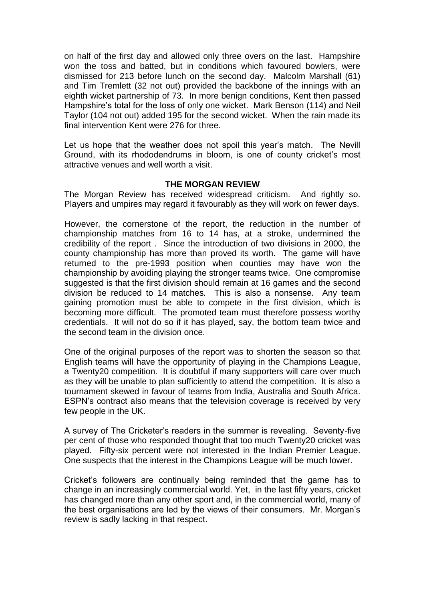on half of the first day and allowed only three overs on the last. Hampshire won the toss and batted, but in conditions which favoured bowlers, were dismissed for 213 before lunch on the second day. Malcolm Marshall (61) and Tim Tremlett (32 not out) provided the backbone of the innings with an eighth wicket partnership of 73. In more benign conditions, Kent then passed Hampshire's total for the loss of only one wicket. Mark Benson (114) and Neil Taylor (104 not out) added 195 for the second wicket. When the rain made its final intervention Kent were 276 for three.

Let us hope that the weather does not spoil this year's match. The Nevill Ground, with its rhododendrums in bloom, is one of county cricket's most attractive venues and well worth a visit.

### **THE MORGAN REVIEW**

The Morgan Review has received widespread criticism. And rightly so. Players and umpires may regard it favourably as they will work on fewer days.

However, the cornerstone of the report, the reduction in the number of championship matches from 16 to 14 has, at a stroke, undermined the credibility of the report . Since the introduction of two divisions in 2000, the county championship has more than proved its worth. The game will have returned to the pre-1993 position when counties may have won the championship by avoiding playing the stronger teams twice. One compromise suggested is that the first division should remain at 16 games and the second division be reduced to 14 matches. This is also a nonsense. Any team gaining promotion must be able to compete in the first division, which is becoming more difficult. The promoted team must therefore possess worthy credentials. It will not do so if it has played, say, the bottom team twice and the second team in the division once.

One of the original purposes of the report was to shorten the season so that English teams will have the opportunity of playing in the Champions League, a Twenty20 competition. It is doubtful if many supporters will care over much as they will be unable to plan sufficiently to attend the competition. It is also a tournament skewed in favour of teams from India, Australia and South Africa. ESPN's contract also means that the television coverage is received by very few people in the UK.

A survey of The Cricketer's readers in the summer is revealing. Seventy-five per cent of those who responded thought that too much Twenty20 cricket was played. Fifty-six percent were not interested in the Indian Premier League. One suspects that the interest in the Champions League will be much lower.

Cricket's followers are continually being reminded that the game has to change in an increasingly commercial world. Yet, in the last fifty years, cricket has changed more than any other sport and, in the commercial world, many of the best organisations are led by the views of their consumers. Mr. Morgan's review is sadly lacking in that respect.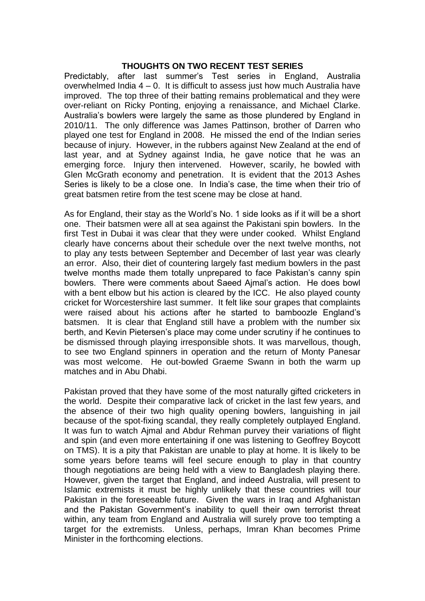### **THOUGHTS ON TWO RECENT TEST SERIES**

Predictably, after last summer's Test series in England, Australia overwhelmed India 4 – 0. It is difficult to assess just how much Australia have improved. The top three of their batting remains problematical and they were over-reliant on Ricky Ponting, enjoying a renaissance, and Michael Clarke. Australia's bowlers were largely the same as those plundered by England in 2010/11. The only difference was James Pattinson, brother of Darren who played one test for England in 2008. He missed the end of the Indian series because of injury. However, in the rubbers against New Zealand at the end of last year, and at Sydney against India, he gave notice that he was an emerging force. Injury then intervened. However, scarily, he bowled with Glen McGrath economy and penetration. It is evident that the 2013 Ashes Series is likely to be a close one. In India's case, the time when their trio of great batsmen retire from the test scene may be close at hand.

As for England, their stay as the World's No. 1 side looks as if it will be a short one. Their batsmen were all at sea against the Pakistani spin bowlers. In the first Test in Dubai it was clear that they were under cooked. Whilst England clearly have concerns about their schedule over the next twelve months, not to play any tests between September and December of last year was clearly an error. Also, their diet of countering largely fast medium bowlers in the past twelve months made them totally unprepared to face Pakistan's canny spin bowlers. There were comments about Saeed Ajmal's action. He does bowl with a bent elbow but his action is cleared by the ICC. He also played county cricket for Worcestershire last summer. It felt like sour grapes that complaints were raised about his actions after he started to bamboozle England's batsmen. It is clear that England still have a problem with the number six berth, and Kevin Pietersen's place may come under scrutiny if he continues to be dismissed through playing irresponsible shots. It was marvellous, though, to see two England spinners in operation and the return of Monty Panesar was most welcome. He out-bowled Graeme Swann in both the warm up matches and in Abu Dhabi.

Pakistan proved that they have some of the most naturally gifted cricketers in the world. Despite their comparative lack of cricket in the last few years, and the absence of their two high quality opening bowlers, languishing in jail because of the spot-fixing scandal, they really completely outplayed England. It was fun to watch Ajmal and Abdur Rehman purvey their variations of flight and spin (and even more entertaining if one was listening to Geoffrey Boycott on TMS). It is a pity that Pakistan are unable to play at home. It is likely to be some years before teams will feel secure enough to play in that country though negotiations are being held with a view to Bangladesh playing there. However, given the target that England, and indeed Australia, will present to Islamic extremists it must be highly unlikely that these countries will tour Pakistan in the foreseeable future. Given the wars in Iraq and Afghanistan and the Pakistan Government's inability to quell their own terrorist threat within, any team from England and Australia will surely prove too tempting a target for the extremists. Unless, perhaps, Imran Khan becomes Prime Minister in the forthcoming elections.